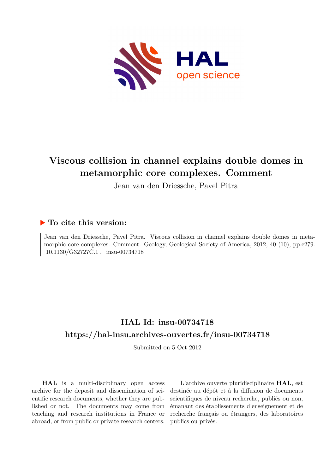

# **Viscous collision in channel explains double domes in metamorphic core complexes. Comment**

Jean van den Driessche, Pavel Pitra

### **To cite this version:**

Jean van den Driessche, Pavel Pitra. Viscous collision in channel explains double domes in metamorphic core complexes. Comment. Geology, Geological Society of America, 2012, 40 (10), pp.e279. 10.1130/G32727C.1 . insu-00734718

## **HAL Id: insu-00734718 <https://hal-insu.archives-ouvertes.fr/insu-00734718>**

Submitted on 5 Oct 2012

**HAL** is a multi-disciplinary open access archive for the deposit and dissemination of scientific research documents, whether they are published or not. The documents may come from teaching and research institutions in France or abroad, or from public or private research centers.

L'archive ouverte pluridisciplinaire **HAL**, est destinée au dépôt et à la diffusion de documents scientifiques de niveau recherche, publiés ou non, émanant des établissements d'enseignement et de recherche français ou étrangers, des laboratoires publics ou privés.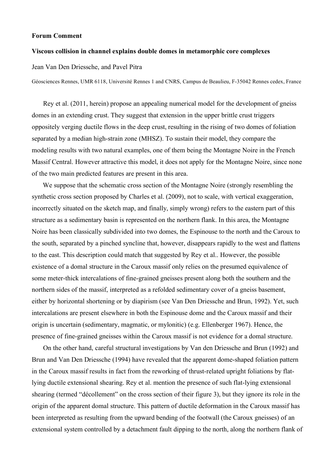#### **Forum Comment**

#### **Viscous collision in channel explains double domes in metamorphic core complexes**

Jean Van Den Driessche, and Pavel Pitra

Géosciences Rennes, UMR 6118, Université Rennes 1 and CNRS, Campus de Beaulieu, F-35042 Rennes cedex, France

Rey et al. (2011, herein) propose an appealing numerical model for the development of gneiss domes in an extending crust. They suggest that extension in the upper brittle crust triggers oppositely verging ductile flows in the deep crust, resulting in the rising of two domes of foliation separated by a median high-strain zone (MHSZ). To sustain their model, they compare the modeling results with two natural examples, one of them being the Montagne Noire in the French Massif Central. However attractive this model, it does not apply for the Montagne Noire, since none of the two main predicted features are present in this area.

We suppose that the schematic cross section of the Montagne Noire (strongly resembling the synthetic cross section proposed by Charles et al. (2009), not to scale, with vertical exaggeration, incorrectly situated on the sketch map, and finally, simply wrong) refers to the eastern part of this structure as a sedimentary basin is represented on the northern flank. In this area, the Montagne Noire has been classically subdivided into two domes, the Espinouse to the north and the Caroux to the south, separated by a pinched syncline that, however, disappears rapidly to the west and flattens to the east. This description could match that suggested by Rey et al.. However, the possible existence of a domal structure in the Caroux massif only relies on the presumed equivalence of some meter-thick intercalations of fine-grained gneisses present along both the southern and the northern sides of the massif, interpreted as a refolded sedimentary cover of a gneiss basement, either by horizontal shortening or by diapirism (see Van Den Driessche and Brun, 1992). Yet, such intercalations are present elsewhere in both the Espinouse dome and the Caroux massif and their origin is uncertain (sedimentary, magmatic, or mylonitic) (e.g. Ellenberger 1967). Hence, the presence of fine-grained gneisses within the Caroux massif is not evidence for a domal structure.

On the other hand, careful structural investigations by Van den Driessche and Brun (1992) and Brun and Van Den Driessche (1994) have revealed that the apparent dome-shaped foliation pattern in the Caroux massif results in fact from the reworking of thrust-related upright foliations by flatlying ductile extensional shearing. Rey et al. mention the presence of such flat-lying extensional shearing (termed "décollement" on the cross section of their figure 3), but they ignore its role in the origin of the apparent domal structure. This pattern of ductile deformation in the Caroux massif has been interpreted as resulting from the upward bending of the footwall (the Caroux gneisses) of an extensional system controlled by a detachment fault dipping to the north, along the northern flank of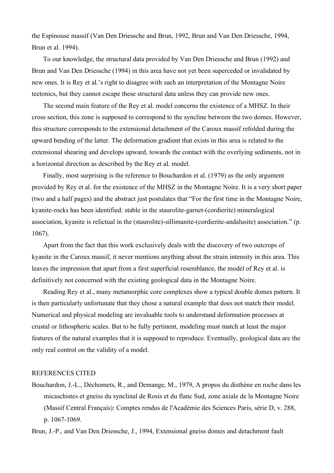the Espinouse massif (Van Den Driessche and Brun, 1992, Brun and Van Den Driessche, 1994, Brun et al. 1994).

To our knowledge, the structural data provided by Van Den Driessche and Brun (1992) and Brun and Van Den Driessche (1994) in this area have not yet been superceded or invalidated by new ones. It is Rey et al.'s right to disagree with such an interpretation of the Montagne Noire tectonics, but they cannot escape these structural data unless they can provide new ones.

The second main feature of the Rey et al. model concerns the existence of a MHSZ. In their cross section, this zone is supposed to correspond to the syncline between the two domes. However, this structure corresponds to the extensional detachment of the Caroux massif refolded during the upward bending of the latter. The deformation gradient that exists in this area is related to the extensional shearing and develops upward, towards the contact with the overlying sediments, not in a horizontal direction as described by the Rey et al. model.

Finally, most surprising is the reference to Bouchardon et al. (1979) as the only argument provided by Rey et al. for the existence of the MHSZ in the Montagne Noire. It is a very short paper (two and a half pages) and the abstract just postulates that "For the first time in the Montagne Noire, kyanite-rocks has been identified: stable in the staurolite-garnet-(cordierite) mineralogical association, kyanite is relictual in the (staurolite)-sillimanite-(cordierite-andalusite) association." (p. 1067).

Apart from the fact that this work exclusively deals with the discovery of two outcrops of kyanite in the Caroux massif, it never mentions anything about the strain intensity in this area. This leaves the impression that apart from a first superficial resemblance, the model of Rey et al. is definitively not concerned with the existing geological data in the Montagne Noire.

Reading Rey et al., many metamorphic core complexes show a typical double domes pattern. It is then particularly unfortunate that they chose a natural example that does not match their model. Numerical and physical modeling are invaluable tools to understand deformation processes at crustal or lithospheric scales. But to be fully pertinent, modeling must match at least the major features of the natural examples that it is supposed to reproduce. Eventually, geological data are the only real control on the validity of a model.

#### REFERENCES CITED

Bouchardon, J.-L., Déchomets, R., and Demange, M., 1979, A propos du disthène en roche dans les micaschistes et gneiss du synclinal de Rosis et du flanc Sud, zone axiale de la Montagne Noire (Massif Central Français): Comptes rendus de l'Académie des Sciences Paris, série D, v. 288, p. 1067-1069.

Brun, J.-P., and Van Den Driessche, J., 1994, Extensional gneiss domes and detachment fault